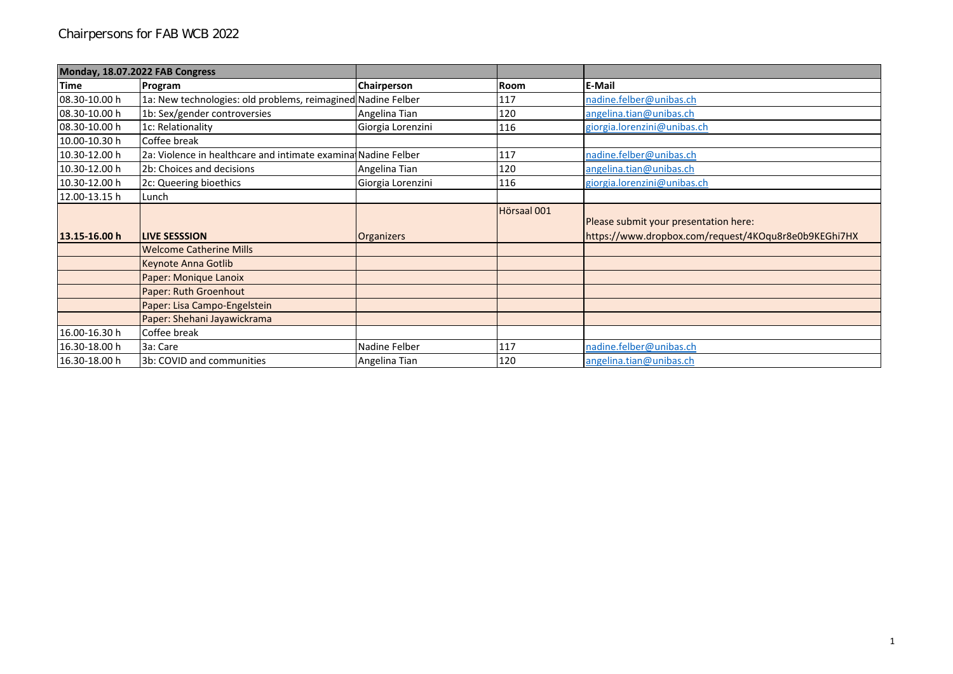|               | Monday, 18.07.2022 FAB Congress                                |                   |             |                                                                                               |
|---------------|----------------------------------------------------------------|-------------------|-------------|-----------------------------------------------------------------------------------------------|
| <b>Time</b>   | Program                                                        | Chairperson       | <b>Room</b> | <b>E-Mail</b>                                                                                 |
| 08.30-10.00 h | 1a: New technologies: old problems, reimagined Nadine Felber   |                   | 117         | nadine.felber@unibas.ch                                                                       |
| 08.30-10.00 h | 1b: Sex/gender controversies                                   | Angelina Tian     | 120         | angelina.tian@unibas.ch                                                                       |
| 08.30-10.00 h | 1c: Relationality                                              | Giorgia Lorenzini | 116         | giorgia.lorenzini@unibas.ch                                                                   |
| 10.00-10.30 h | Coffee break                                                   |                   |             |                                                                                               |
| 10.30-12.00 h | 2a: Violence in healthcare and intimate examinal Nadine Felber |                   | 117         | nadine.felber@unibas.ch                                                                       |
| 10.30-12.00 h | 2b: Choices and decisions                                      | Angelina Tian     | 120         | angelina.tian@unibas.ch                                                                       |
| 10.30-12.00 h | 2c: Queering bioethics                                         | Giorgia Lorenzini | 116         | giorgia.lorenzini@unibas.ch                                                                   |
| 12.00-13.15 h | Lunch                                                          |                   |             |                                                                                               |
| 13.15-16.00 h | <b>LIVE SESSSION</b>                                           |                   | Hörsaal 001 | Please submit your presentation here:<br>https://www.dropbox.com/request/4KOqu8r8e0b9KEGhi7HX |
|               | <b>Welcome Catherine Mills</b>                                 | <b>Organizers</b> |             |                                                                                               |
|               | Keynote Anna Gotlib                                            |                   |             |                                                                                               |
|               | Paper: Monique Lanoix                                          |                   |             |                                                                                               |
|               | Paper: Ruth Groenhout                                          |                   |             |                                                                                               |
|               | Paper: Lisa Campo-Engelstein                                   |                   |             |                                                                                               |
|               | Paper: Shehani Jayawickrama                                    |                   |             |                                                                                               |
| 16.00-16.30 h | Coffee break                                                   |                   |             |                                                                                               |
| 16.30-18.00 h | 3a: Care                                                       | Nadine Felber     | 117         | nadine.felber@unibas.ch                                                                       |
| 16.30-18.00 h | 3b: COVID and communities                                      | Angelina Tian     | 120         | angelina.tian@unibas.ch                                                                       |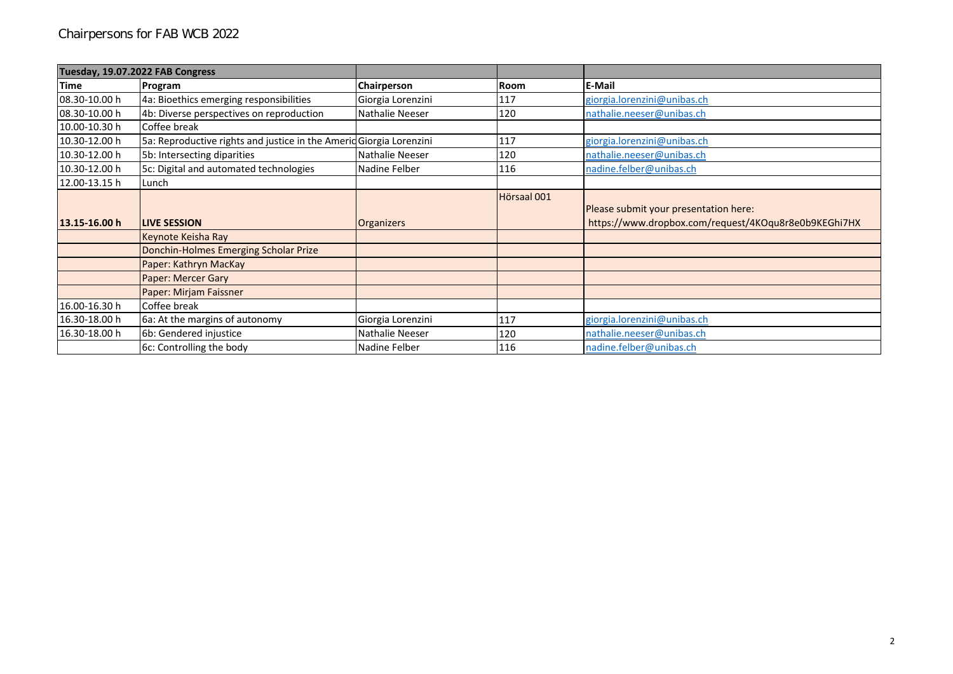|               | Tuesday, 19.07.2022 FAB Congress                                    |                   |             |                                                                                               |
|---------------|---------------------------------------------------------------------|-------------------|-------------|-----------------------------------------------------------------------------------------------|
| Time          | Program                                                             | Chairperson       | <b>Room</b> | E-Mail                                                                                        |
| 08.30-10.00 h | 4a: Bioethics emerging responsibilities                             | Giorgia Lorenzini | 117         | giorgia.lorenzini@unibas.ch                                                                   |
| 08.30-10.00 h | 4b: Diverse perspectives on reproduction                            | Nathalie Neeser   | 120         | nathalie.neeser@unibas.ch                                                                     |
| 10.00-10.30 h | Coffee break                                                        |                   |             |                                                                                               |
| 10.30-12.00 h | 5a: Reproductive rights and justice in the Amerid Giorgia Lorenzini |                   | 117         | giorgia.lorenzini@unibas.ch                                                                   |
| 10.30-12.00 h | 5b: Intersecting diparities                                         | Nathalie Neeser   | 120         | nathalie.neeser@unibas.ch                                                                     |
| 10.30-12.00 h | 5c: Digital and automated technologies                              | Nadine Felber     | 116         | nadine.felber@unibas.ch                                                                       |
| 12.00-13.15 h | Lunch                                                               |                   |             |                                                                                               |
| 13.15-16.00 h | <b>LIVE SESSION</b>                                                 | <b>Organizers</b> | Hörsaal 001 | Please submit your presentation here:<br>https://www.dropbox.com/request/4KOqu8r8e0b9KEGhi7HX |
|               | Keynote Keisha Ray                                                  |                   |             |                                                                                               |
|               | Donchin-Holmes Emerging Scholar Prize                               |                   |             |                                                                                               |
|               | Paper: Kathryn MacKay                                               |                   |             |                                                                                               |
|               | Paper: Mercer Gary                                                  |                   |             |                                                                                               |
|               | Paper: Mirjam Faissner                                              |                   |             |                                                                                               |
| 16.00-16.30h  | Coffee break                                                        |                   |             |                                                                                               |
| 16.30-18.00 h | 6a: At the margins of autonomy                                      | Giorgia Lorenzini | 117         | giorgia.lorenzini@unibas.ch                                                                   |
| 16.30-18.00 h | 6b: Gendered injustice                                              | Nathalie Neeser   | 120         | nathalie.neeser@unibas.ch                                                                     |
|               | 6c: Controlling the body                                            | Nadine Felber     | 116         | nadine.felber@unibas.ch                                                                       |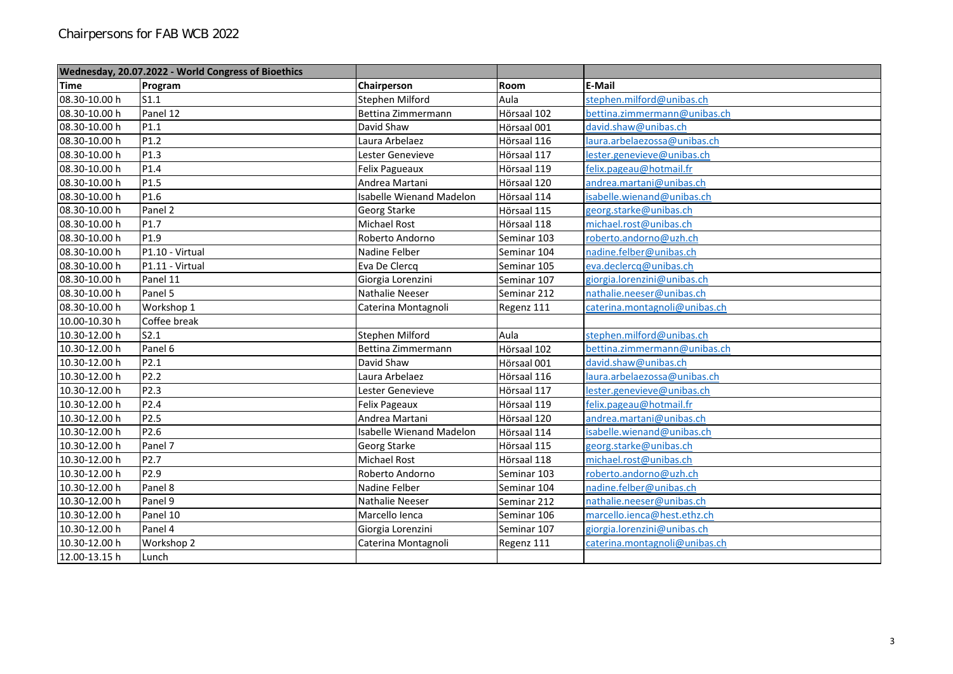|               | Wednesday, 20.07.2022 - World Congress of Bioethics |                                 |             |                               |
|---------------|-----------------------------------------------------|---------------------------------|-------------|-------------------------------|
| <b>Time</b>   | Program                                             | Chairperson                     | Room        | <b>E-Mail</b>                 |
| 08.30-10.00 h | S1.1                                                | Stephen Milford                 | Aula        | stephen.milford@unibas.ch     |
| 08.30-10.00 h | Panel 12                                            | Bettina Zimmermann              | Hörsaal 102 | bettina.zimmermann@unibas.ch  |
| 08.30-10.00 h | P1.1                                                | David Shaw                      | Hörsaal 001 | david.shaw@unibas.ch          |
| 08.30-10.00 h | P <sub>1.2</sub>                                    | Laura Arbelaez                  | Hörsaal 116 | laura.arbelaezossa@unibas.ch  |
| 08.30-10.00 h | P <sub>1.3</sub>                                    | Lester Genevieve                | Hörsaal 117 | lester.genevieve@unibas.ch    |
| 08.30-10.00 h | P1.4                                                | Felix Pagueaux                  | Hörsaal 119 | felix.pageau@hotmail.fr       |
| 08.30-10.00 h | P <sub>1.5</sub>                                    | Andrea Martani                  | Hörsaal 120 | andrea.martani@unibas.ch      |
| 08.30-10.00 h | P1.6                                                | <b>Isabelle Wienand Madelon</b> | Hörsaal 114 | isabelle.wienand@unibas.ch    |
| 08.30-10.00 h | Panel 2                                             | Georg Starke                    | Hörsaal 115 | georg.starke@unibas.ch        |
| 08.30-10.00 h | P1.7                                                | <b>Michael Rost</b>             | Hörsaal 118 | michael.rost@unibas.ch        |
| 08.30-10.00 h | P1.9                                                | Roberto Andorno                 | Seminar 103 | roberto.andorno@uzh.ch        |
| 08.30-10.00 h | P1.10 - Virtual                                     | Nadine Felber                   | Seminar 104 | nadine.felber@unibas.ch       |
| 08.30-10.00 h | P1.11 - Virtual                                     | Eva De Clercq                   | Seminar 105 | eva.declercq@unibas.ch        |
| 08.30-10.00 h | Panel 11                                            | Giorgia Lorenzini               | Seminar 107 | giorgia.lorenzini@unibas.ch   |
| 08.30-10.00 h | Panel 5                                             | Nathalie Neeser                 | Seminar 212 | nathalie.neeser@unibas.ch     |
| 08.30-10.00 h | Workshop 1                                          | Caterina Montagnoli             | Regenz 111  | caterina.montagnoli@unibas.ch |
| 10.00-10.30 h | Coffee break                                        |                                 |             |                               |
| 10.30-12.00 h | S2.1                                                | Stephen Milford                 | Aula        | stephen.milford@unibas.ch     |
| 10.30-12.00 h | Panel 6                                             | Bettina Zimmermann              | Hörsaal 102 | bettina.zimmermann@unibas.ch  |
| 10.30-12.00 h | P2.1                                                | David Shaw                      | Hörsaal 001 | david.shaw@unibas.ch          |
| 10.30-12.00 h | P <sub>2.2</sub>                                    | Laura Arbelaez                  | Hörsaal 116 | laura.arbelaezossa@unibas.ch  |
| 10.30-12.00 h | P2.3                                                | Lester Genevieve                | Hörsaal 117 | lester.genevieve@unibas.ch    |
| 10.30-12.00 h | P <sub>2.4</sub>                                    | <b>Felix Pageaux</b>            | Hörsaal 119 | felix.pageau@hotmail.fr       |
| 10.30-12.00 h | P <sub>2.5</sub>                                    | Andrea Martani                  | Hörsaal 120 | andrea.martani@unibas.ch      |
| 10.30-12.00 h | P2.6                                                | <b>Isabelle Wienand Madelon</b> | Hörsaal 114 | isabelle.wienand@unibas.ch    |
| 10.30-12.00 h | Panel 7                                             | Georg Starke                    | Hörsaal 115 | georg.starke@unibas.ch        |
| 10.30-12.00 h | P2.7                                                | Michael Rost                    | Hörsaal 118 | michael.rost@unibas.ch        |
| 10.30-12.00 h | P2.9                                                | Roberto Andorno                 | Seminar 103 | roberto.andorno@uzh.ch        |
| 10.30-12.00 h | Panel 8                                             | Nadine Felber                   | Seminar 104 | nadine.felber@unibas.ch       |
| 10.30-12.00 h | Panel 9                                             | Nathalie Neeser                 | Seminar 212 | nathalie.neeser@unibas.ch     |
| 10.30-12.00 h | Panel 10                                            | Marcello Ienca                  | Seminar 106 | marcello.ienca@hest.ethz.ch   |
| 10.30-12.00 h | Panel 4                                             | Giorgia Lorenzini               | Seminar 107 | giorgia.lorenzini@unibas.ch   |
| 10.30-12.00 h | Workshop 2                                          | Caterina Montagnoli             | Regenz 111  | caterina.montagnoli@unibas.ch |
| 12.00-13.15 h | Lunch                                               |                                 |             |                               |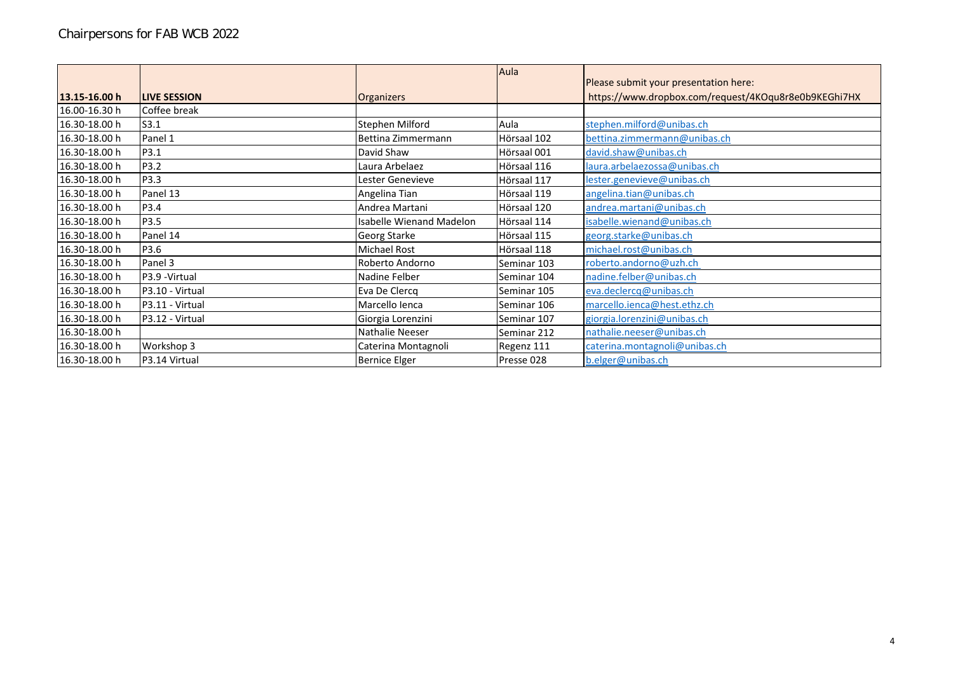|               |                     |                                 | Aula        | Please submit your presentation here:                |
|---------------|---------------------|---------------------------------|-------------|------------------------------------------------------|
| 13.15-16.00 h | <b>LIVE SESSION</b> |                                 |             | https://www.dropbox.com/request/4KOqu8r8e0b9KEGhi7HX |
|               |                     | <b>Organizers</b>               |             |                                                      |
| 16.00-16.30 h | Coffee break        |                                 |             |                                                      |
| 16.30-18.00 h | S3.1                | Stephen Milford                 | Aula        | stephen.milford@unibas.ch                            |
| 16.30-18.00 h | Panel 1             | Bettina Zimmermann              | Hörsaal 102 | bettina.zimmermann@unibas.ch                         |
| 16.30-18.00 h | P3.1                | David Shaw                      | Hörsaal 001 | david.shaw@unibas.ch                                 |
| 16.30-18.00 h | P3.2                | Laura Arbelaez                  | Hörsaal 116 | laura.arbelaezossa@unibas.ch                         |
| 16.30-18.00 h | P3.3                | Lester Genevieve                | Hörsaal 117 | lester.genevieve@unibas.ch                           |
| 16.30-18.00 h | Panel 13            | Angelina Tian                   | Hörsaal 119 | angelina.tian@unibas.ch                              |
| 16.30-18.00 h | P3.4                | Andrea Martani                  | Hörsaal 120 | andrea.martani@unibas.ch                             |
| 16.30-18.00 h | P3.5                | <b>Isabelle Wienand Madelon</b> | Hörsaal 114 | isabelle.wienand@unibas.ch                           |
| 16.30-18.00 h | Panel 14            | Georg Starke                    | Hörsaal 115 | georg.starke@unibas.ch                               |
| 16.30-18.00 h | P3.6                | <b>Michael Rost</b>             | Hörsaal 118 | michael.rost@unibas.ch                               |
| 16.30-18.00 h | Panel 3             | Roberto Andorno                 | Seminar 103 | roberto.andorno@uzh.ch                               |
| 16.30-18.00 h | P3.9 - Virtual      | Nadine Felber                   | Seminar 104 | nadine.felber@unibas.ch                              |
| 16.30-18.00 h | P3.10 - Virtual     | Eva De Clercq                   | Seminar 105 | eva.declercq@unibas.ch                               |
| 16.30-18.00 h | P3.11 - Virtual     | Marcello lenca                  | Seminar 106 | marcello.ienca@hest.ethz.ch                          |
| 16.30-18.00 h | P3.12 - Virtual     | Giorgia Lorenzini               | Seminar 107 | giorgia.lorenzini@unibas.ch                          |
| 16.30-18.00 h |                     | Nathalie Neeser                 | Seminar 212 | nathalie.neeser@unibas.ch                            |
| 16.30-18.00 h | Workshop 3          | Caterina Montagnoli             | Regenz 111  | caterina.montagnoli@unibas.ch                        |
| 16.30-18.00 h | P3.14 Virtual       | <b>Bernice Elger</b>            | Presse 028  | b.elger@unibas.ch                                    |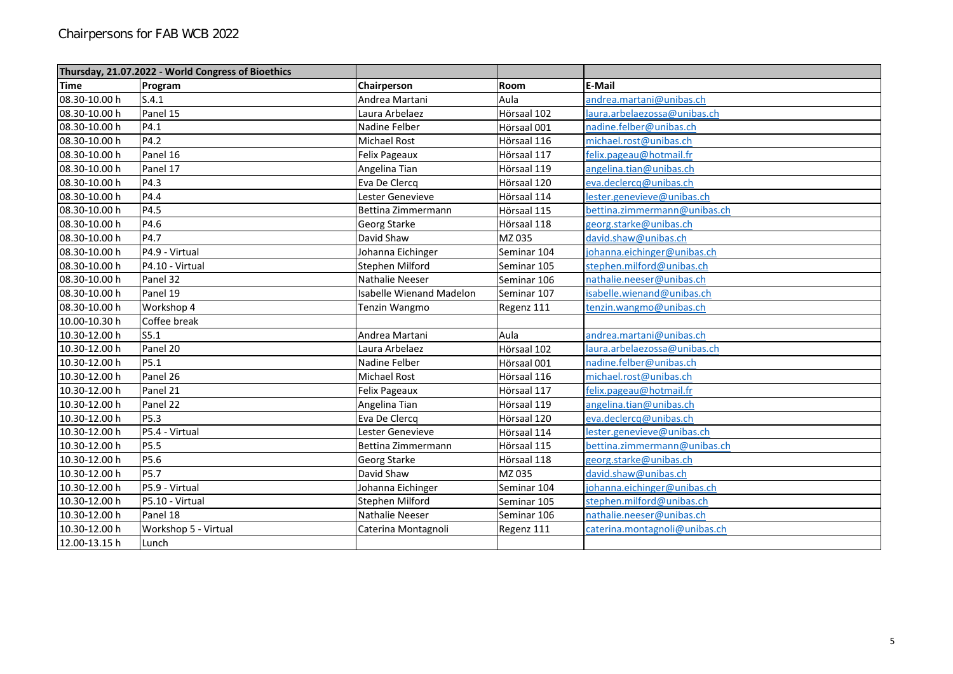| Thursday, 21.07.2022 - World Congress of Bioethics |                      |                                 |             |                               |
|----------------------------------------------------|----------------------|---------------------------------|-------------|-------------------------------|
| <b>Time</b>                                        | Program              | Chairperson                     | Room        | <b>E-Mail</b>                 |
| 08.30-10.00 h                                      | S.4.1                | Andrea Martani                  | Aula        | andrea.martani@unibas.ch      |
| 08.30-10.00 h                                      | Panel 15             | Laura Arbelaez                  | Hörsaal 102 | laura.arbelaezossa@unibas.ch  |
| 08.30-10.00 h                                      | P4.1                 | Nadine Felber                   | Hörsaal 001 | nadine.felber@unibas.ch       |
| 08.30-10.00 h                                      | P4.2                 | Michael Rost                    | Hörsaal 116 | michael.rost@unibas.ch        |
| 08.30-10.00 h                                      | Panel 16             | Felix Pageaux                   | Hörsaal 117 | felix.pageau@hotmail.fr       |
| 08.30-10.00 h                                      | Panel 17             | Angelina Tian                   | Hörsaal 119 | angelina.tian@unibas.ch       |
| 08.30-10.00 h                                      | P4.3                 | Eva De Clercq                   | Hörsaal 120 | eva.declercq@unibas.ch        |
| 08.30-10.00 h                                      | P4.4                 | Lester Genevieve                | Hörsaal 114 | lester.genevieve@unibas.ch    |
| 08.30-10.00 h                                      | P4.5                 | Bettina Zimmermann              | Hörsaal 115 | bettina.zimmermann@unibas.ch  |
| 08.30-10.00 h                                      | P4.6                 | Georg Starke                    | Hörsaal 118 | georg.starke@unibas.ch        |
| 08.30-10.00 h                                      | P4.7                 | David Shaw                      | MZ 035      | david.shaw@unibas.ch          |
| 08.30-10.00 h                                      | P4.9 - Virtual       | Johanna Eichinger               | Seminar 104 | johanna.eichinger@unibas.ch   |
| 08.30-10.00 h                                      | P4.10 - Virtual      | Stephen Milford                 | Seminar 105 | stephen.milford@unibas.ch     |
| 08.30-10.00 h                                      | Panel 32             | Nathalie Neeser                 | Seminar 106 | nathalie.neeser@unibas.ch     |
| 08.30-10.00 h                                      | Panel 19             | <b>Isabelle Wienand Madelon</b> | Seminar 107 | isabelle.wienand@unibas.ch    |
| 08.30-10.00 h                                      | Workshop 4           | Tenzin Wangmo                   | Regenz 111  | tenzin.wangmo@unibas.ch       |
| 10.00-10.30 h                                      | Coffee break         |                                 |             |                               |
| 10.30-12.00 h                                      | S5.1                 | Andrea Martani                  | Aula        | andrea.martani@unibas.ch      |
| 10.30-12.00 h                                      | Panel 20             | Laura Arbelaez                  | Hörsaal 102 | laura.arbelaezossa@unibas.ch  |
| 10.30-12.00 h                                      | P5.1                 | Nadine Felber                   | Hörsaal 001 | nadine.felber@unibas.ch       |
| 10.30-12.00 h                                      | Panel 26             | <b>Michael Rost</b>             | Hörsaal 116 | michael.rost@unibas.ch        |
| 10.30-12.00 h                                      | Panel 21             | Felix Pageaux                   | Hörsaal 117 | felix.pageau@hotmail.fr       |
| 10.30-12.00 h                                      | Panel 22             | Angelina Tian                   | Hörsaal 119 | angelina.tian@unibas.ch       |
| 10.30-12.00 h                                      | P5.3                 | Eva De Clercq                   | Hörsaal 120 | eva.declercq@unibas.ch        |
| 10.30-12.00 h                                      | P5.4 - Virtual       | Lester Genevieve                | Hörsaal 114 | lester.genevieve@unibas.ch    |
| 10.30-12.00 h                                      | P5.5                 | Bettina Zimmermann              | Hörsaal 115 | bettina.zimmermann@unibas.ch  |
| 10.30-12.00 h                                      | P5.6                 | Georg Starke                    | Hörsaal 118 | georg.starke@unibas.ch        |
| 10.30-12.00 h                                      | P5.7                 | David Shaw                      | MZ 035      | david.shaw@unibas.ch          |
| 10.30-12.00 h                                      | P5.9 - Virtual       | Johanna Eichinger               | Seminar 104 | johanna.eichinger@unibas.ch   |
| 10.30-12.00 h                                      | P5.10 - Virtual      | Stephen Milford                 | Seminar 105 | stephen.milford@unibas.ch     |
| 10.30-12.00 h                                      | Panel 18             | Nathalie Neeser                 | Seminar 106 | nathalie.neeser@unibas.ch     |
| 10.30-12.00 h                                      | Workshop 5 - Virtual | Caterina Montagnoli             | Regenz 111  | caterina.montagnoli@unibas.ch |
| 12.00-13.15 h                                      | Lunch                |                                 |             |                               |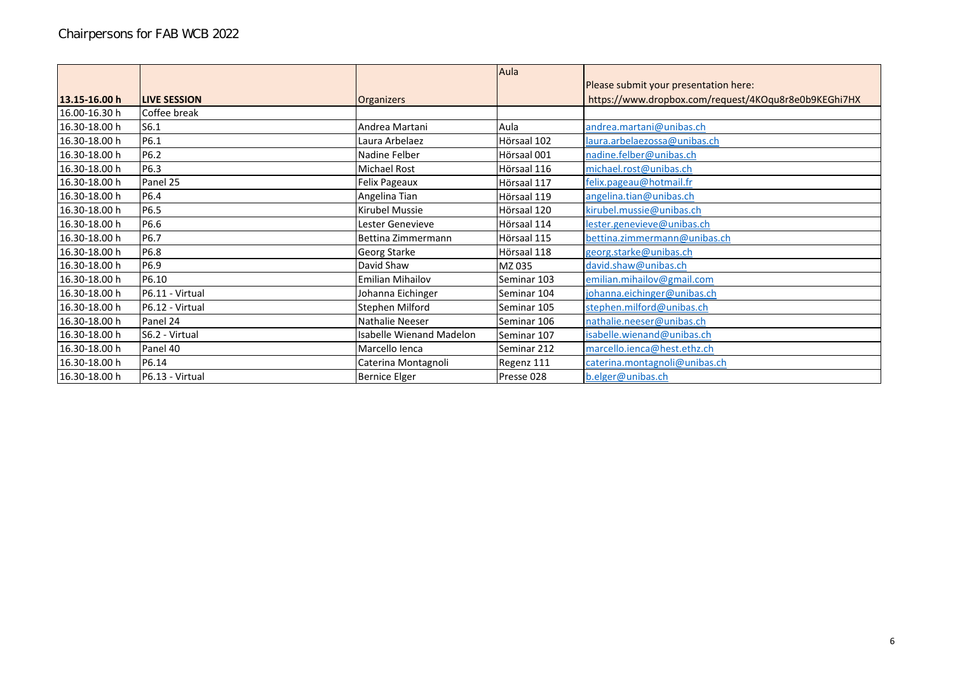|               |                     |                          | Aula        |                                                      |
|---------------|---------------------|--------------------------|-------------|------------------------------------------------------|
|               |                     |                          |             | Please submit your presentation here:                |
| 13.15-16.00 h | <b>LIVE SESSION</b> | Organizers               |             | https://www.dropbox.com/request/4KOqu8r8e0b9KEGhi7HX |
| 16.00-16.30 h | Coffee break        |                          |             |                                                      |
| 16.30-18.00 h | S6.1                | Andrea Martani           | Aula        | andrea.martani@unibas.ch                             |
| 16.30-18.00 h | P6.1                | Laura Arbelaez           | Hörsaal 102 | laura.arbelaezossa@unibas.ch                         |
| 16.30-18.00 h | P6.2                | Nadine Felber            | Hörsaal 001 | nadine.felber@unibas.ch                              |
| 16.30-18.00 h | P6.3                | <b>Michael Rost</b>      | Hörsaal 116 | michael.rost@unibas.ch                               |
| 16.30-18.00 h | Panel 25            | Felix Pageaux            | Hörsaal 117 | felix.pageau@hotmail.fr                              |
| 16.30-18.00 h | P6.4                | Angelina Tian            | Hörsaal 119 | angelina.tian@unibas.ch                              |
| 16.30-18.00 h | P6.5                | <b>Kirubel Mussie</b>    | Hörsaal 120 | kirubel.mussie@unibas.ch                             |
| 16.30-18.00 h | P6.6                | Lester Genevieve         | Hörsaal 114 | lester.genevieve@unibas.ch                           |
| 16.30-18.00 h | P6.7                | Bettina Zimmermann       | Hörsaal 115 | bettina.zimmermann@unibas.ch                         |
| 16.30-18.00 h | P6.8                | Georg Starke             | Hörsaal 118 | georg.starke@unibas.ch                               |
| 16.30-18.00 h | P6.9                | David Shaw               | MZ 035      | david.shaw@unibas.ch                                 |
| 16.30-18.00 h | P6.10               | <b>Emilian Mihailov</b>  | Seminar 103 | emilian.mihailov@gmail.com                           |
| 16.30-18.00 h | P6.11 - Virtual     | Johanna Eichinger        | Seminar 104 | johanna.eichinger@unibas.ch                          |
| 16.30-18.00 h | P6.12 - Virtual     | Stephen Milford          | Seminar 105 | stephen.milford@unibas.ch                            |
| 16.30-18.00 h | Panel 24            | Nathalie Neeser          | Seminar 106 | nathalie.neeser@unibas.ch                            |
| 16.30-18.00 h | S6.2 - Virtual      | Isabelle Wienand Madelon | Seminar 107 | isabelle.wienand@unibas.ch                           |
| 16.30-18.00 h | Panel 40            | Marcello Ienca           | Seminar 212 | marcello.ienca@hest.ethz.ch                          |
| 16.30-18.00 h | P6.14               | Caterina Montagnoli      | Regenz 111  | caterina.montagnoli@unibas.ch                        |
| 16.30-18.00 h | P6.13 - Virtual     | <b>Bernice Elger</b>     | Presse 028  | b.elger@unibas.ch                                    |